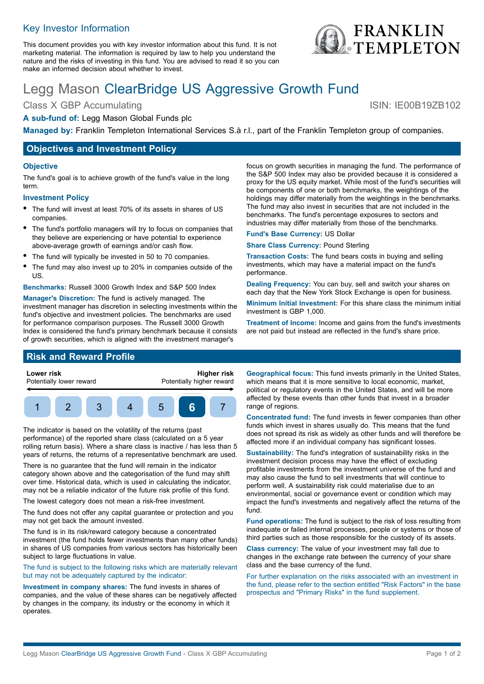## Key Investor Information

This document provides you with key investor information about this fund. It is not marketing material. The information is required by law to help you understand the nature and the risks of investing in this fund. You are advised to read it so you can make an informed decision about whether to invest.

# Legg Mason ClearBridge US Aggressive Growth Fund

Class X GBP Accumulating ISIN: IE00B19ZB102

#### **A sub-fund of:** Legg Mason Global Funds plc

**Managed by:** Franklin Templeton International Services S.à r.l., part of the Franklin Templeton group of companies.

## **Objectives and Investment Policy**

#### **Objective**

The fund's goal is to achieve growth of the fund's value in the long term.

#### **Investment Policy**

- The fund will invest at least 70% of its assets in shares of US companies.
- The fund's portfolio managers will try to focus on companies that they believe are experiencing or have potential to experience above-average growth of earnings and/or cash flow.
- The fund will typically be invested in 50 to 70 companies.
- The fund may also invest up to 20% in companies outside of the US.

**Benchmarks:** Russell 3000 Growth Index and S&P 500 Index

**Manager's Discretion:** The fund is actively managed. The investment manager has discretion in selecting investments within the fund's objective and investment policies. The benchmarks are used for performance comparison purposes. The Russell 3000 Growth Index is considered the fund's primary benchmark because it consists of growth securities, which is aligned with the investment manager's

focus on growth securities in managing the fund. The performance of the S&P 500 Index may also be provided because it is considered a proxy for the US equity market. While most of the fund's securities will be components of one or both benchmarks, the weightings of the holdings may differ materially from the weightings in the benchmarks. The fund may also invest in securities that are not included in the benchmarks. The fund's percentage exposures to sectors and industries may differ materially from those of the benchmarks.

**Fund's Base Currency:** US Dollar

**Share Class Currency:** Pound Sterling

**Transaction Costs:** The fund bears costs in buying and selling investments, which may have a material impact on the fund's performance.

**Dealing Frequency:** You can buy, sell and switch your shares on each day that the New York Stock Exchange is open for business.

**Minimum Initial Investment:** For this share class the minimum initial investment is GBP 1,000.

**Treatment of Income:** Income and gains from the fund's investments are not paid but instead are reflected in the fund's share price.

## **Risk and Reward Profile**



The indicator is based on the volatility of the returns (past performance) of the reported share class (calculated on a 5 year rolling return basis). Where a share class is inactive / has less than 5 years of returns, the returns of a representative benchmark are used.

There is no guarantee that the fund will remain in the indicator category shown above and the categorisation of the fund may shift over time. Historical data, which is used in calculating the indicator, may not be a reliable indicator of the future risk profile of this fund.

The lowest category does not mean a risk-free investment.

The fund does not offer any capital guarantee or protection and you may not get back the amount invested.

The fund is in its risk/reward category because a concentrated investment (the fund holds fewer investments than many other funds) in shares of US companies from various sectors has historically been subject to large fluctuations in value.

The fund is subject to the following risks which are materially relevant but may not be adequately captured by the indicator:

**Investment in company shares:** The fund invests in shares of companies, and the value of these shares can be negatively affected by changes in the company, its industry or the economy in which it operates.

**Geographical focus:** This fund invests primarily in the United States, which means that it is more sensitive to local economic, market, political or regulatory events in the United States, and will be more affected by these events than other funds that invest in a broader range of regions.

**Concentrated fund:** The fund invests in fewer companies than other funds which invest in shares usually do. This means that the fund does not spread its risk as widely as other funds and will therefore be affected more if an individual company has significant losses.

**Sustainability:** The fund's integration of sustainability risks in the investment decision process may have the effect of excluding profitable investments from the investment universe of the fund and may also cause the fund to sell investments that will continue to perform well. A sustainability risk could materialise due to an environmental, social or governance event or condition which may impact the fund's investments and negatively affect the returns of the fund.

**Fund operations:** The fund is subject to the risk of loss resulting from inadequate or failed internal processes, people or systems or those of third parties such as those responsible for the custody of its assets.

**Class currency:** The value of your investment may fall due to changes in the exchange rate between the currency of your share class and the base currency of the fund.

For further explanation on the risks associated with an investment in the fund, please refer to the section entitled "Risk Factors" in the base prospectus and "Primary Risks" in the fund supplement.